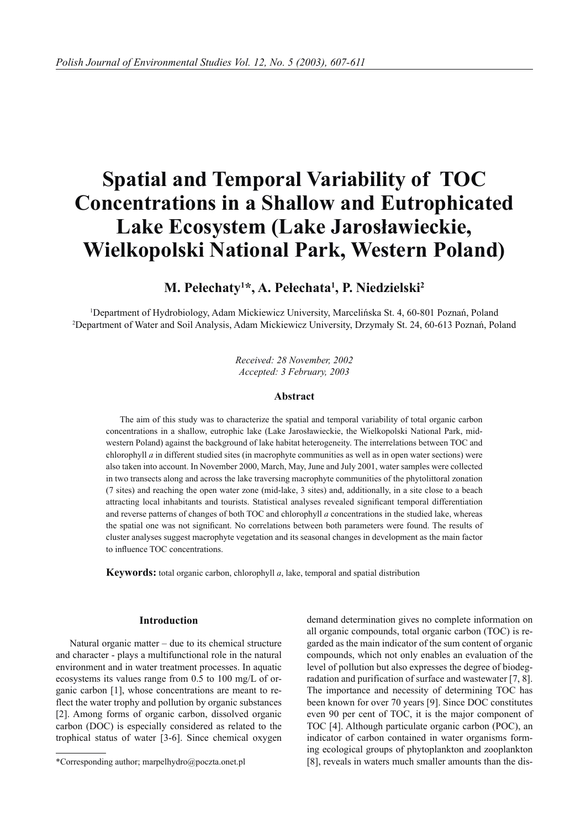# **Spatial and Temporal Variability of TOC Concentrations in a Shallow and Eutrophicated Lake Ecosystem (Lake Jarosławieckie, Wielkopolski National Park, Western Poland)**

# **M. Pełechaty1 \*, A. Pełechata1 , P. Niedzielski2**

1 Department of Hydrobiology, Adam Mickiewicz University, Marcelińska St. 4, 60-801 Poznań, Poland 2 Department of Water and Soil Analysis, Adam Mickiewicz University, Drzymały St. 24, 60-613 Poznań, Poland

> *Received: 28 November, 2002 Accepted: 3 February, 2003*

#### **Abstract**

The aim of this study was to characterize the spatial and temporal variability of total organic carbon concentrations in a shallow, eutrophic lake (Lake Jarosławieckie, the Wielkopolski National Park, midwestern Poland) against the background of lake habitat heterogeneity. The interrelations between TOC and chlorophyll *a* in different studied sites (in macrophyte communities as well as in open water sections) were also taken into account. In November 2000, March, May, June and July 2001, water samples were collected in two transects along and across the lake traversing macrophyte communities of the phytolittoral zonation (7 sites) and reaching the open water zone (mid-lake, 3 sites) and, additionally, in a site close to a beach attracting local inhabitants and tourists. Statistical analyses revealed significant temporal differentiation and reverse patterns of changes of both TOC and chlorophyll *a* concentrations in the studied lake, whereas the spatial one was not significant. No correlations between both parameters were found. The results of cluster analyses suggest macrophyte vegetation and its seasonal changes in development as the main factor to influence TOC concentrations.

**Keywords:** total organic carbon, chlorophyll *a*, lake, temporal and spatial distribution

#### **Introduction**

Natural organic matter – due to its chemical structure and character - plays a multifunctional role in the natural environment and in water treatment processes. In aquatic ecosystems its values range from 0.5 to 100 mg/L of organic carbon [1], whose concentrations are meant to reflect the water trophy and pollution by organic substances [2]. Among forms of organic carbon, dissolved organic carbon (DOC) is especially considered as related to the trophical status of water [3-6]. Since chemical oxygen

demand determination gives no complete information on all organic compounds, total organic carbon (TOC) is regarded as the main indicator of the sum content of organic compounds, which not only enables an evaluation of the level of pollution but also expresses the degree of biodegradation and purification of surface and wastewater [7, 8]. The importance and necessity of determining TOC has been known for over 70 years [9]. Since DOC constitutes even 90 per cent of TOC, it is the major component of TOC [4]. Although particulate organic carbon (POC), an indicator of carbon contained in water organisms forming ecological groups of phytoplankton and zooplankton [8], reveals in waters much smaller amounts than the dis-

<sup>\*</sup>Corresponding author; marpelhydro@poczta.onet.pl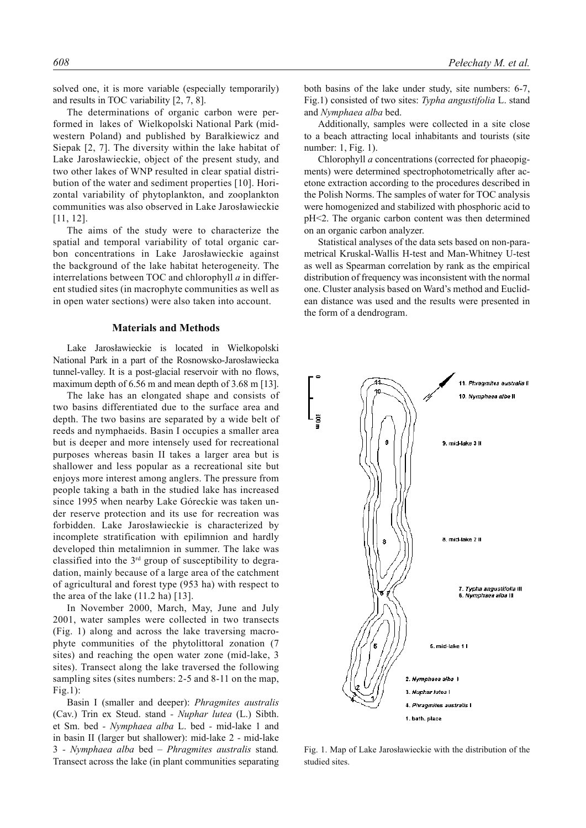solved one, it is more variable (especially temporarily) and results in TOC variability [2, 7, 8].

The determinations of organic carbon were performed in lakes of Wielkopolski National Park (midwestern Poland) and published by Barałkiewicz and Siepak [2, 7]. The diversity within the lake habitat of Lake Jarosławieckie, object of the present study, and two other lakes of WNP resulted in clear spatial distribution of the water and sediment properties [10]. Horizontal variability of phytoplankton, and zooplankton communities was also observed in Lake Jarosławieckie [11, 12].

The aims of the study were to characterize the spatial and temporal variability of total organic carbon concentrations in Lake Jarosławieckie against the background of the lake habitat heterogeneity. The interrelations between TOC and chlorophyll *a* in different studied sites (in macrophyte communities as well as in open water sections) were also taken into account.

#### **Materials and Methods**

Lake Jarosławieckie is located in Wielkopolski National Park in a part of the Rosnowsko-Jarosławiecka tunnel-valley. It is a post-glacial reservoir with no flows, maximum depth of 6.56 m and mean depth of 3.68 m [13].

The lake has an elongated shape and consists of two basins differentiated due to the surface area and depth. The two basins are separated by a wide belt of reeds and nymphaeids. Basin I occupies a smaller area but is deeper and more intensely used for recreational purposes whereas basin II takes a larger area but is shallower and less popular as a recreational site but enjoys more interest among anglers. The pressure from people taking a bath in the studied lake has increased since 1995 when nearby Lake Góreckie was taken under reserve protection and its use for recreation was forbidden. Lake Jarosławieckie is characterized by incomplete stratification with epilimnion and hardly developed thin metalimnion in summer. The lake was classified into the 3rd group of susceptibility to degradation, mainly because of a large area of the catchment of agricultural and forest type (953 ha) with respect to the area of the lake (11.2 ha) [13].

In November 2000, March, May, June and July 2001, water samples were collected in two transects (Fig. 1) along and across the lake traversing macrophyte communities of the phytolittoral zonation (7 sites) and reaching the open water zone (mid-lake, 3 sites). Transect along the lake traversed the following sampling sites (sites numbers: 2-5 and 8-11 on the map, Fig.1):

Basin I (smaller and deeper): *Phragmites australis*  (Cav.) Trin ex Steud. stand *- Nuphar lutea* (L.) Sibth. et Sm. bed *- Nymphaea alba* L. bed *-* mid-lake 1 and in basin II (larger but shallower): mid-lake 2 *-* mid-lake 3 *- Nymphaea alba* bed *– Phragmites australis* stand*.* Transect across the lake (in plant communities separating both basins of the lake under study, site numbers: 6-7, Fig.1) consisted of two sites: *Typha angustifolia* L. stand and *Nymphaea alba* bed.

Additionally, samples were collected in a site close to a beach attracting local inhabitants and tourists (site number: 1, Fig. 1).

Chlorophyll *a* concentrations (corrected for phaeopigments) were determined spectrophotometrically after acetone extraction according to the procedures described in the Polish Norms. The samples of water for TOC analysis were homogenized and stabilized with phosphoric acid to pH<2. The organic carbon content was then determined on an organic carbon analyzer.

Statistical analyses of the data sets based on non-parametrical Kruskal-Wallis H-test and Man-Whitney U-test as well as Spearman correlation by rank as the empirical distribution of frequency was inconsistent with the normal one. Cluster analysis based on Ward's method and Euclidean distance was used and the results were presented in the form of a dendrogram.



Fig. 1. Map of Lake Jarosławieckie with the distribution of the studied sites.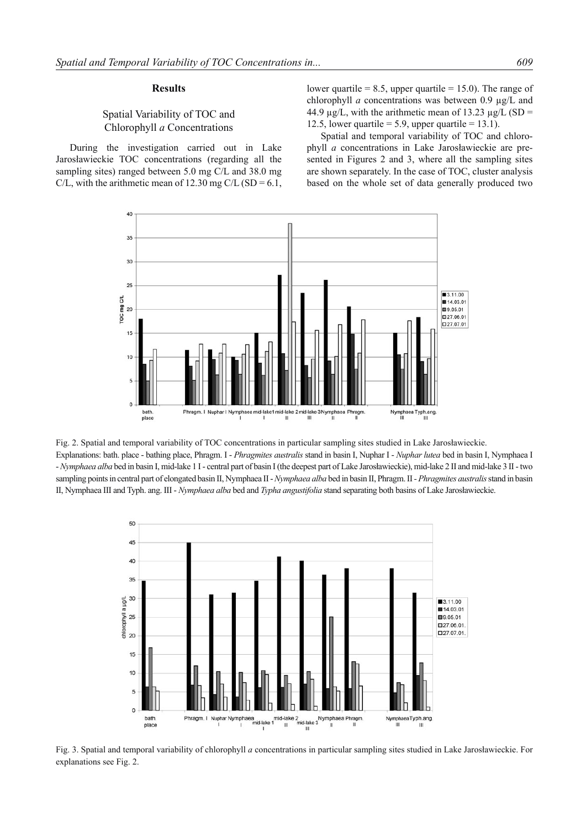## **Results**

## Spatial Variability of TOC and Chlorophyll *a* Concentrations

During the investigation carried out in Lake Jarosławieckie TOC concentrations (regarding all the sampling sites) ranged between 5.0 mg C/L and 38.0 mg C/L, with the arithmetic mean of 12.30 mg C/L (SD =  $6.1$ ,

lower quartile  $= 8.5$ , upper quartile  $= 15.0$ ). The range of chlorophyll *a* concentrations was between 0.9 µg/L and 44.9  $\mu$ g/L, with the arithmetic mean of 13.23  $\mu$ g/L (SD = 12.5, lower quartile = 5.9, upper quartile =  $13.1$ ).

Spatial and temporal variability of TOC and chlorophyll *a* concentrations in Lake Jarosławieckie are presented in Figures 2 and 3, where all the sampling sites are shown separately. In the case of TOC, cluster analysis based on the whole set of data generally produced two



Fig. 2. Spatial and temporal variability of TOC concentrations in particular sampling sites studied in Lake Jarosławieckie. Explanations: bath. place - bathing place, Phragm. I - *Phragmites australis* stand in basin I, Nuphar I - *Nuphar lutea* bed in basin I, Nymphaea I - *Nymphaea alba* bed in basin I, mid-lake 1 I - central part of basin I (the deepest part of Lake Jarosławieckie), mid-lake 2 II and mid-lake 3 II - two sampling points in central part of elongated basin II, Nymphaea II - *Nymphaea alba* bed in basin II, Phragm. II *- Phragmites australis* stand in basin II, Nymphaea III and Typh. ang. III - *Nymphaea alba* bed and *Typha angustifolia* stand separating both basins of Lake Jarosławieckie.



Fig. 3. Spatial and temporal variability of chlorophyll *a* concentrations in particular sampling sites studied in Lake Jarosławieckie. For explanations see Fig. 2.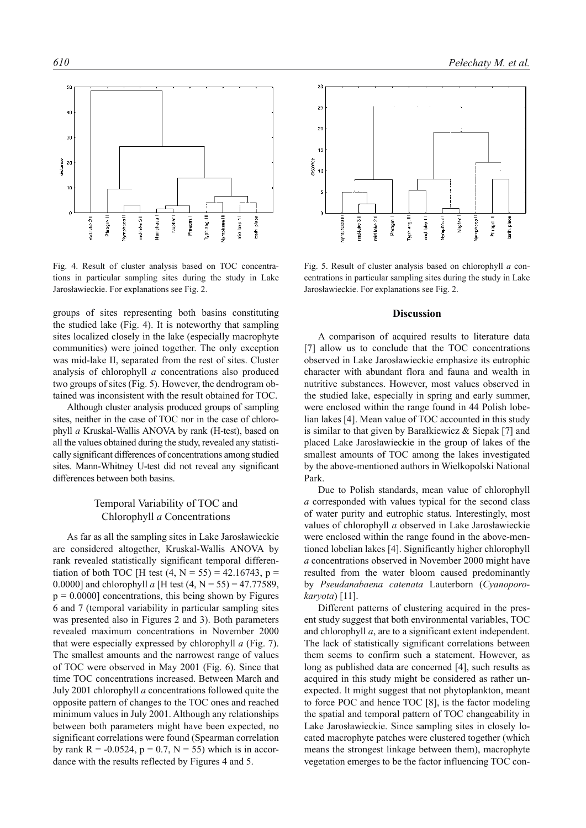

Fig. 4. Result of cluster analysis based on TOC concentrations in particular sampling sites during the study in Lake Jarosławieckie. For explanations see Fig. 2.

groups of sites representing both basins constituting the studied lake (Fig. 4). It is noteworthy that sampling sites localized closely in the lake (especially macrophyte communities) were joined together. The only exception was mid-lake II, separated from the rest of sites. Cluster analysis of chlorophyll *a* concentrations also produced two groups of sites (Fig. 5). However, the dendrogram obtained was inconsistent with the result obtained for TOC.

Although cluster analysis produced groups of sampling sites, neither in the case of TOC nor in the case of chlorophyll *a* Kruskal-Wallis ANOVA by rank (H-test), based on all the values obtained during the study, revealed any statistically significant differences of concentrations among studied sites. Mann-Whitney U-test did not reveal any significant differences between both basins.

## Temporal Variability of TOC and Chlorophyll *a* Concentrations

As far as all the sampling sites in Lake Jarosławieckie are considered altogether, Kruskal-Wallis ANOVA by rank revealed statistically significant temporal differentiation of both TOC [H test  $(4, N = 55) = 42.16743$ , p = 0.0000] and chlorophyll *a* [H test  $(4, N = 55) = 47.77589$ ,  $p = 0.0000$ ] concentrations, this being shown by Figures 6 and 7 (temporal variability in particular sampling sites was presented also in Figures 2 and 3). Both parameters revealed maximum concentrations in November 2000 that were especially expressed by chlorophyll *a* (Fig. 7). The smallest amounts and the narrowest range of values of TOC were observed in May 2001 (Fig. 6). Since that time TOC concentrations increased. Between March and July 2001 chlorophyll *a* concentrations followed quite the opposite pattern of changes to the TOC ones and reached minimum values in July 2001. Although any relationships between both parameters might have been expected, no significant correlations were found (Spearman correlation by rank  $R = -0.0524$ ,  $p = 0.7$ ,  $N = 55$ ) which is in accordance with the results reflected by Figures 4 and 5.



Fig. 5. Result of cluster analysis based on chlorophyll *a* concentrations in particular sampling sites during the study in Lake Jarosławieckie. For explanations see Fig. 2.

#### **Discussion**

A comparison of acquired results to literature data [7] allow us to conclude that the TOC concentrations observed in Lake Jarosławieckie emphasize its eutrophic character with abundant flora and fauna and wealth in nutritive substances. However, most values observed in the studied lake, especially in spring and early summer, were enclosed within the range found in 44 Polish lobelian lakes [4]. Mean value of TOC accounted in this study is similar to that given by Barałkiewicz & Siepak [7] and placed Lake Jarosławieckie in the group of lakes of the smallest amounts of TOC among the lakes investigated by the above-mentioned authors in Wielkopolski National Park.

Due to Polish standards, mean value of chlorophyll *a* corresponded with values typical for the second class of water purity and eutrophic status. Interestingly, most values of chlorophyll *a* observed in Lake Jarosławieckie were enclosed within the range found in the above-mentioned lobelian lakes [4]. Significantly higher chlorophyll *a* concentrations observed in November 2000 might have resulted from the water bloom caused predominantly by *Pseudanabaena catenata* Lauterborn (*Cyanoporokaryota*) [11].

Different patterns of clustering acquired in the present study suggest that both environmental variables, TOC and chlorophyll *a*, are to a significant extent independent. The lack of statistically significant correlations between them seems to confirm such a statement. However, as long as published data are concerned [4], such results as acquired in this study might be considered as rather unexpected. It might suggest that not phytoplankton, meant to force POC and hence TOC [8], is the factor modeling the spatial and temporal pattern of TOC changeability in Lake Jarosławieckie. Since sampling sites in closely located macrophyte patches were clustered together (which means the strongest linkage between them), macrophyte vegetation emerges to be the factor influencing TOC con-